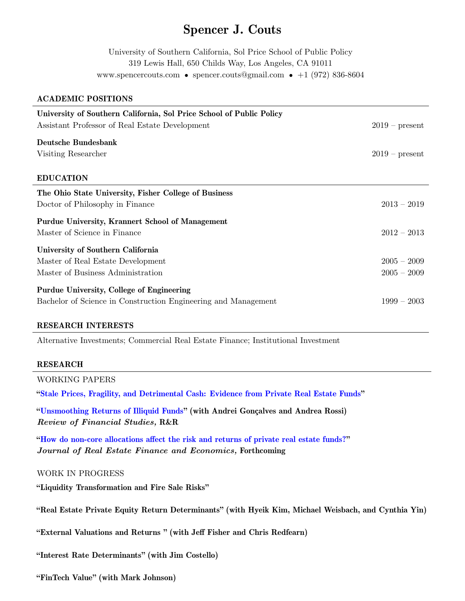# Spencer J. Couts

University of Southern California, Sol Price School of Public Policy 319 Lewis Hall, 650 Childs Way, Los Angeles, CA 91011 www.spencercouts.com • spencer.couts@gmail.com • +1 (972) 836-8604

#### ACADEMIC POSITIONS

| University of Southern California, Sol Price School of Public Policy<br>Assistant Professor of Real Estate Development | $2019$ – present |
|------------------------------------------------------------------------------------------------------------------------|------------------|
| Deutsche Bundesbank                                                                                                    |                  |
| Visiting Researcher                                                                                                    | $2019$ – present |
| <b>EDUCATION</b>                                                                                                       |                  |
| The Ohio State University, Fisher College of Business                                                                  |                  |
| Doctor of Philosophy in Finance                                                                                        | $2013 - 2019$    |
| Purdue University, Krannert School of Management                                                                       |                  |
| Master of Science in Finance                                                                                           | $2012 - 2013$    |
| University of Southern California                                                                                      |                  |
| Master of Real Estate Development                                                                                      | $2005 - 2009$    |
| Master of Business Administration                                                                                      | $2005 - 2009$    |
| Purdue University, College of Engineering                                                                              |                  |
| Bachelor of Science in Construction Engineering and Management                                                         | $1999 - 2003$    |

#### RESEARCH INTERESTS

Alternative Investments; Commercial Real Estate Finance; Institutional Investment

#### RESEARCH

WORKING PAPERS

["Stale Prices, Fragility, and Detrimental Cash: Evidence from Private Real Estate Funds"](http://ssrn.com/abstract=3445622)

["Unsmoothing Returns of Illiquid Funds"](https://papers.ssrn.com/sol3/papers.cfm?abstract_id=3544854) (with Andrei Gonçalves and Andrea Rossi) Review of Financial Studies, R&R

["How do non-core allocations affect the risk and returns of private real estate funds?"](https://papers.ssrn.com/sol3/papers.cfm?abstract_id=3602196) Journal of Real Estate Finance and Economics, Forthcoming

#### WORK IN PROGRESS

"Liquidity Transformation and Fire Sale Risks"

"Real Estate Private Equity Return Determinants" (with Hyeik Kim, Michael Weisbach, and Cynthia Yin)

"External Valuations and Returns " (with Jeff Fisher and Chris Redfearn)

"Interest Rate Determinants" (with Jim Costello)

"FinTech Value" (with Mark Johnson)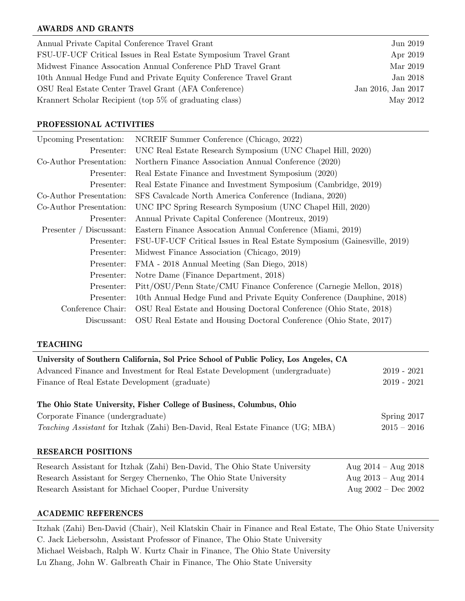### AWARDS AND GRANTS

| Annual Private Capital Conference Travel Grant                    | Jun 2019           |
|-------------------------------------------------------------------|--------------------|
| FSU-UF-UCF Critical Issues in Real Estate Symposium Travel Grant  | Apr 2019           |
| Midwest Finance Assocation Annual Conference PhD Travel Grant     | Mar 2019           |
| 10th Annual Hedge Fund and Private Equity Conference Travel Grant | Jan 2018           |
| OSU Real Estate Center Travel Grant (AFA Conference)              | Jan 2016, Jan 2017 |
| Krannert Scholar Recipient (top 5% of graduating class)           | May 2012           |

#### PROFESSIONAL ACTIVITIES

| <b>Upcoming Presentation:</b> | NCREIF Summer Conference (Chicago, 2022)                                |
|-------------------------------|-------------------------------------------------------------------------|
| Presenter:                    | UNC Real Estate Research Symposium (UNC Chapel Hill, 2020)              |
| Co-Author Presentation:       | Northern Finance Association Annual Conference (2020)                   |
| Presenter:                    | Real Estate Finance and Investment Symposium (2020)                     |
| Presenter:                    | Real Estate Finance and Investment Symposium (Cambridge, 2019)          |
| Co-Author Presentation:       | SFS Cavalcade North America Conference (Indiana, 2020)                  |
| Co-Author Presentation:       | UNC IPC Spring Research Symposium (UNC Chapel Hill, 2020)               |
| Presenter:                    | Annual Private Capital Conference (Montreux, 2019)                      |
| Presenter / Discussant:       | Eastern Finance Assocation Annual Conference (Miami, 2019)              |
| Presenter:                    | FSU-UF-UCF Critical Issues in Real Estate Symposium (Gainesville, 2019) |
| Presenter:                    | Midwest Finance Association (Chicago, 2019)                             |
| Presenter:                    | FMA - 2018 Annual Meeting (San Diego, 2018)                             |
| Presenter:                    | Notre Dame (Finance Department, 2018)                                   |
| Presenter:                    | Pitt/OSU/Penn State/CMU Finance Conference (Carnegie Mellon, 2018)      |
| Presenter:                    | 10th Annual Hedge Fund and Private Equity Conference (Dauphine, 2018)   |
| Conference Chair:             | OSU Real Estate and Housing Doctoral Conference (Ohio State, 2018)      |
| Discussant:                   | OSU Real Estate and Housing Doctoral Conference (Ohio State, 2017)      |

#### TEACHING

| University of Southern California, Sol Price School of Public Policy, Los Angeles, CA |                     |
|---------------------------------------------------------------------------------------|---------------------|
| Advanced Finance and Investment for Real Estate Development (undergraduate)           | $2019 - 2021$       |
| Finance of Real Estate Development (graduate)                                         | $2019 - 2021$       |
| The Ohio State University, Fisher College of Business, Columbus, Ohio                 |                     |
| Corporate Finance (undergraduate)                                                     | Spring $2017$       |
| <i>Teaching Assistant</i> for Itzhak (Zahi) Ben-David, Real Estate Finance (UG; MBA)  | $2015 - 2016$       |
| <b>RESEARCH POSITIONS</b>                                                             |                     |
| Research Assistant for Itzhak (Zahi) Ben-David, The Ohio State University             | Aug 2014 – Aug 2018 |

| Research Assistant for Itzhak (Zahi) Ben-David, The Ohio State University | Aug $2014 - \text{Aug } 2018$ |
|---------------------------------------------------------------------------|-------------------------------|
| Research Assistant for Sergey Chernenko, The Ohio State University        | Aug $2013 - \text{Aug } 2014$ |
| Research Assistant for Michael Cooper, Purdue University                  | Aug $2002 - Dec 2002$         |

## ACADEMIC REFERENCES

Itzhak (Zahi) Ben-David (Chair), Neil Klatskin Chair in Finance and Real Estate, The Ohio State University C. Jack Liebersohn, Assistant Professor of Finance, The Ohio State University Michael Weisbach, Ralph W. Kurtz Chair in Finance, The Ohio State University Lu Zhang, John W. Galbreath Chair in Finance, The Ohio State University